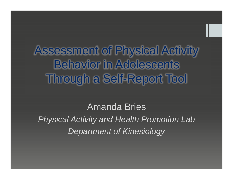Assessment of Physical Activity Behavior in Adolescents Through a Self-Report Tool

Amanda Bries *Physical Activity and Health Promotion Lab Department of Kinesiology*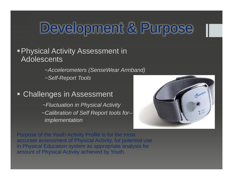## Development & Purpose

**Physical Activity Assessment in Adolescents** 

<sup>~</sup>*Accelerometers (SenseWear Armband)*

*~Self-Report Tools*

 $\blacksquare$ Challenges in Assessment

> *~Fluctuation in Physical Activity ~Calibration of Self Report tools for- implementation*



Purpose of the Youth Activity Profile is for the most accurate assessment of Physical Activity, for potential use in Physical Education system as appropriate analysis for amount of Physical Activity achieved by Youth.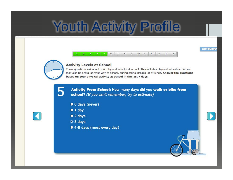# Youth Activity Profile

#### $6\phantom{.}6$  $\overline{7}$ 8  $9$ 10 11 12 13 14 15



#### **Activity Levels at School**

These questions ask about your physical activity at school. This includes physical education but you may also be active on your way to school, during school breaks, or at lunch. Answer the questions based on your physical activity at school in the last 7 days.

**EXIT SURVEY** 

Activity From School: How many days did you walk or bike from school? (If you can't remember, try to estimate)

- · 0 days (never)
- $1 day$
- $\bullet$  2 days
- <sup>o</sup> 3 days
- 4-5 days (most every day)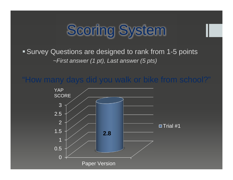# Scoring System

### Survey Questions are designed to rank from 1-5 points <sup>~</sup>*First answer (1 pt), Last answer (5 pts)*

### "How many days did you walk or bike from school?"

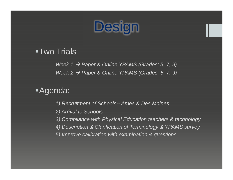

#### ■Two Trials

*Week 1 Paper & Online YPAMS (Grades: 5, 7, 9) Week 2 Paper & Online YPAMS (Grades: 5, 7, 9)*

Agenda:

- *1) Recruitment of Schools-- Ames & Des Moines*
- *2) Arrival to Schools*
- *3) Compliance with Physical Education teachers & technology*
- *4) Description & Clarification of Terminology & YPAMS survey*
- *5) Improve calibration with examination & questions*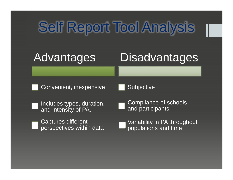# Self Report Tool Analysis

### Advantages

## **Disadvantages**

Convenient, inexpensive

**Subjective** 

- Includes types, duration, and intensity of PA.
- Captures different perspectives within data

Compliance of schools and participants

Variability in PA throughout populations and time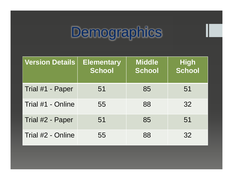# Demographics

| <b>Version Details</b> | <b>Elementary</b><br><b>School</b> | <b>Middle</b><br><b>School</b> | High<br>School |
|------------------------|------------------------------------|--------------------------------|----------------|
| Trial #1 - Paper       | 51                                 | 85                             | 51             |
| Trial #1 - Online      | 55                                 | 88                             | 32             |
| Trial #2 - Paper       | 51                                 | 85                             | 51             |
| Trial #2 - Online      | 55                                 | 88                             | 32             |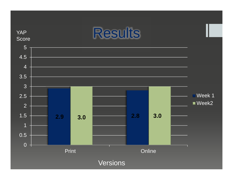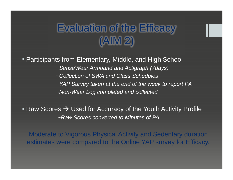### Evaluation of the Efficacy (AIM 2)

Participants from Elementary, Middle, and High School

<sup>~</sup>*SenseWear Armband and Actigraph (7days)* 

*~Collection of SWA and Class Schedules*

*~YAP Survey taken at the end of the week to report PA* 

*~Non-Wear Log completed and collected*

Raw Scores  $\rightarrow$  Used for Accuracy of the Youth Activity Profile ~*Raw Scores converted to Minutes of PA*

Moderate to Vigorous Physical Activity and Sedentary duration estimates were compared to the Online YAP survey for Efficacy.